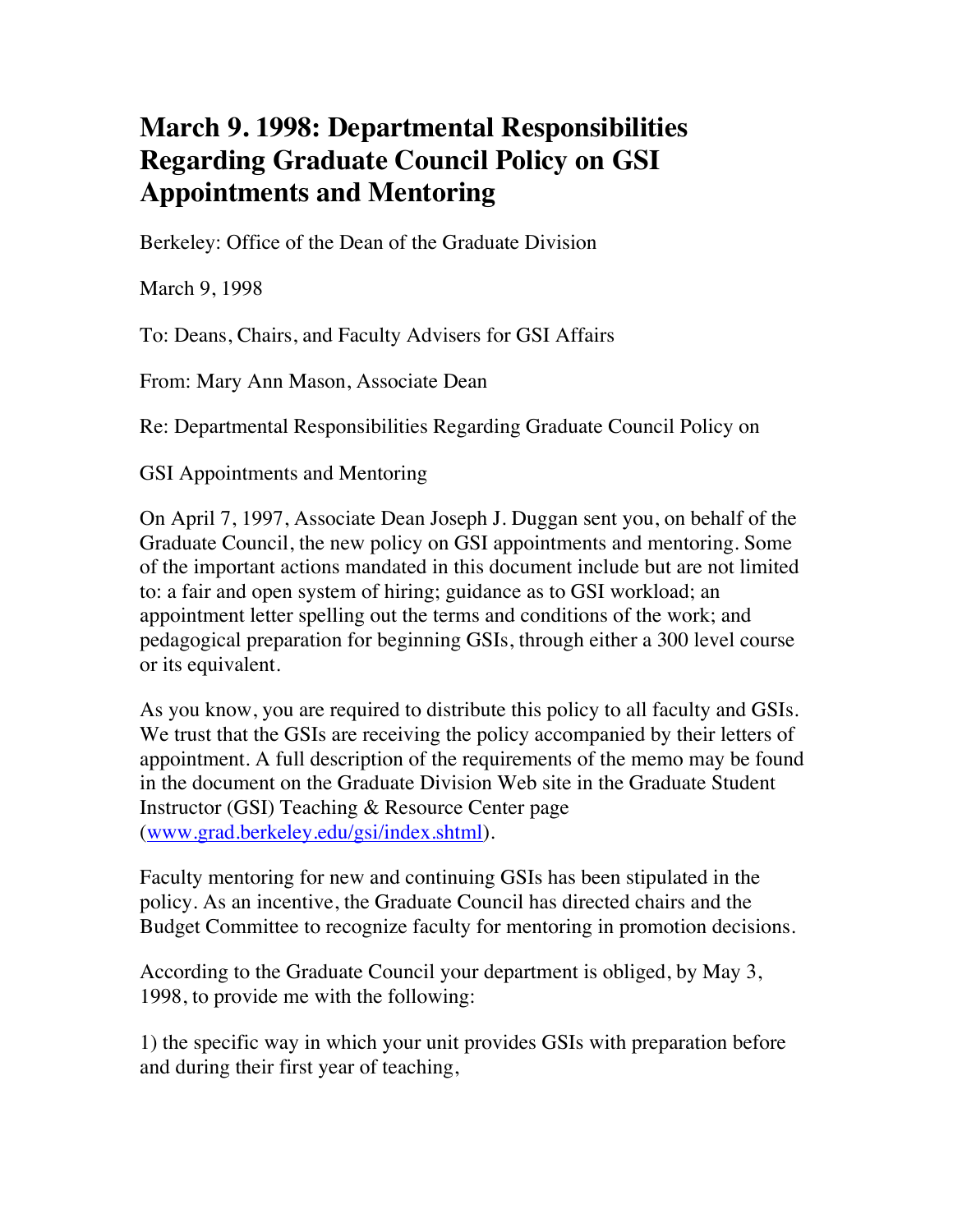## **March 9. 1998: Departmental Responsibilities Regarding Graduate Council Policy on GSI Appointments and Mentoring**

Berkeley: Office of the Dean of the Graduate Division

March 9, 1998

To: Deans, Chairs, and Faculty Advisers for GSI Affairs

From: Mary Ann Mason, Associate Dean

Re: Departmental Responsibilities Regarding Graduate Council Policy on

GSI Appointments and Mentoring

On April 7, 1997, Associate Dean Joseph J. Duggan sent you, on behalf of the Graduate Council, the new policy on GSI appointments and mentoring. Some of the important actions mandated in this document include but are not limited to: a fair and open system of hiring; guidance as to GSI workload; an appointment letter spelling out the terms and conditions of the work; and pedagogical preparation for beginning GSIs, through either a 300 level course or its equivalent.

As you know, you are required to distribute this policy to all faculty and GSIs. We trust that the GSIs are receiving the policy accompanied by their letters of appointment. A full description of the requirements of the memo may be found in the document on the Graduate Division Web site in the Graduate Student Instructor (GSI) Teaching & Resource Center page (www.grad.berkeley.edu/gsi/index.shtml).

Faculty mentoring for new and continuing GSIs has been stipulated in the policy. As an incentive, the Graduate Council has directed chairs and the Budget Committee to recognize faculty for mentoring in promotion decisions.

According to the Graduate Council your department is obliged, by May 3, 1998, to provide me with the following:

1) the specific way in which your unit provides GSIs with preparation before and during their first year of teaching,